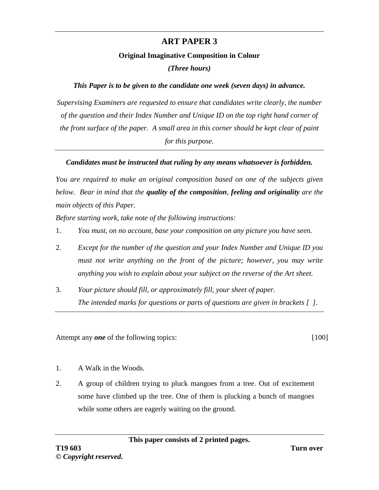## **ART PAPER 3**

## **Original Imaginative Composition in Colour**

*(Three hours)*

## *This Paper is to be given to the candidate one week (seven days) in advance.*

*Supervising Examiners are requested to ensure that candidates write clearly, the number of the question and their Index Number and Unique ID on the top right hand corner of the front surface of the paper. A small area in this corner should be kept clear of paint for this purpose.*

## *Candidates must be instructed that ruling by any means whatsoever is forbidden.*

*You are required to make an original composition based on one of the subjects given below. Bear in mind that the quality of the composition, feeling and originality are the main objects of this Paper.*

*Before starting work, take note of the following instructions:*

- 1. *You must, on no account, base your composition on any picture you have seen.*
- 2. *Except for the number of the question and your Index Number and Unique ID you must not write anything on the front of the picture; however, you may write anything you wish to explain about your subject on the reverse of the Art sheet.*
- 3. *Your picture should fill, or approximately fill, your sheet of paper. The intended marks for questions or parts of questions are given in brackets [ ].*

Attempt any *one* of the following topics: [100]

- 1. A Walk in the Woods.
- 2. A group of children trying to pluck mangoes from a tree. Out of excitement some have climbed up the tree. One of them is plucking a bunch of mangoes while some others are eagerly waiting on the ground.

**This paper consists of 2 printed pages.**